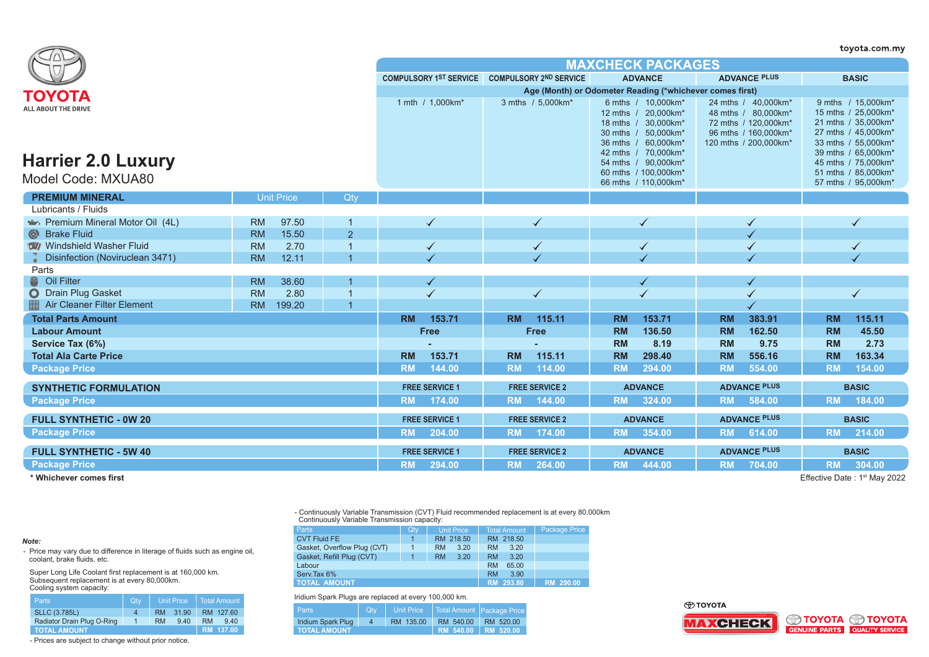|                                                         |                     |                |                          |                                               |                                                                                                                                                                                           |                                                                                                                     | toyota.com.my                                                                                                                                                                       |  |  |  |
|---------------------------------------------------------|---------------------|----------------|--------------------------|-----------------------------------------------|-------------------------------------------------------------------------------------------------------------------------------------------------------------------------------------------|---------------------------------------------------------------------------------------------------------------------|-------------------------------------------------------------------------------------------------------------------------------------------------------------------------------------|--|--|--|
|                                                         |                     |                | <b>MAXCHECK PACKAGES</b> |                                               |                                                                                                                                                                                           |                                                                                                                     |                                                                                                                                                                                     |  |  |  |
|                                                         |                     |                |                          | COMPULSORY 1ST SERVICE COMPULSORY 2ND SERVICE | <b>ADVANCE</b>                                                                                                                                                                            | <b>ADVANCE PLUS</b>                                                                                                 | <b>BASIC</b>                                                                                                                                                                        |  |  |  |
| ΤΟΥΟΤΑ                                                  |                     |                |                          |                                               | Age (Month) or Odometer Reading (*whichever comes first)                                                                                                                                  |                                                                                                                     |                                                                                                                                                                                     |  |  |  |
| <b>ALL ABOUT THE DRIVE</b><br><b>Harrier 2.0 Luxury</b> |                     |                | 1 mth / 1.000km*         | 3 mths / 5.000km*                             | 6 mths / 10,000km*<br>12 mths / 20,000km*<br>18 mths / 30,000km*<br>50,000km*<br>30 mths $/$<br>36 mths / 60,000km*<br>42 mths / 70,000km*<br>54 mths / 90,000km*<br>60 mths / 100,000km* | 24 mths / 40,000km*<br>48 mths / 80,000km*<br>72 mths / 120,000km*<br>96 mths / 160,000km*<br>120 mths / 200,000km* | 9 mths / 15.000km*<br>15 mths / 25,000km*<br>21 mths / 35,000km*<br>27 mths / 45,000km*<br>33 mths / 55,000km*<br>39 mths / 65,000km*<br>45 mths / 75,000km*<br>51 mths / 85,000km* |  |  |  |
| Model Code: MXUA80                                      |                     |                |                          |                                               | 66 mths / 110,000km*                                                                                                                                                                      |                                                                                                                     | 57 mths / 95,000km*                                                                                                                                                                 |  |  |  |
| <b>PREMIUM MINERAL</b>                                  | <b>Unit Price</b>   | Qty            |                          |                                               |                                                                                                                                                                                           |                                                                                                                     |                                                                                                                                                                                     |  |  |  |
| Lubricants / Fluids                                     |                     |                |                          |                                               |                                                                                                                                                                                           |                                                                                                                     |                                                                                                                                                                                     |  |  |  |
| Premium Mineral Motor Oil (4L)                          | 97.50<br><b>RM</b>  |                | ✓                        | ✓                                             | $\checkmark$                                                                                                                                                                              |                                                                                                                     | $\checkmark$                                                                                                                                                                        |  |  |  |
| <b>Brake Fluid</b><br>$\odot$                           | <b>RM</b><br>15.50  | $\overline{2}$ |                          |                                               |                                                                                                                                                                                           |                                                                                                                     |                                                                                                                                                                                     |  |  |  |
| Windshield Washer Fluid                                 | <b>RM</b><br>2.70   |                |                          |                                               | ✓                                                                                                                                                                                         |                                                                                                                     |                                                                                                                                                                                     |  |  |  |
| Disinfection (Noviruclean 3471)                         | 12.11<br><b>RM</b>  |                |                          |                                               |                                                                                                                                                                                           |                                                                                                                     |                                                                                                                                                                                     |  |  |  |
| Parts                                                   |                     |                |                          |                                               |                                                                                                                                                                                           |                                                                                                                     |                                                                                                                                                                                     |  |  |  |
| 2<br>Oil Filter                                         | <b>RM</b><br>38.60  |                |                          |                                               |                                                                                                                                                                                           |                                                                                                                     |                                                                                                                                                                                     |  |  |  |
| O Drain Plug Gasket                                     | <b>RM</b><br>2.80   |                |                          | $\checkmark$                                  | $\checkmark$                                                                                                                                                                              |                                                                                                                     | $\blacktriangledown$                                                                                                                                                                |  |  |  |
| Air Cleaner Filter Element                              | <b>RM</b><br>199.20 | $\overline{1}$ |                          |                                               |                                                                                                                                                                                           |                                                                                                                     |                                                                                                                                                                                     |  |  |  |
| <b>Total Parts Amount</b>                               |                     |                | <b>RM</b><br>153.71      | 115.11<br><b>RM</b>                           | 153.71<br><b>RM</b>                                                                                                                                                                       | <b>RM</b><br>383.91                                                                                                 | 115.11<br><b>RM</b>                                                                                                                                                                 |  |  |  |
| <b>Labour Amount</b>                                    |                     |                | <b>Free</b>              | <b>Free</b>                                   | 136.50<br><b>RM</b>                                                                                                                                                                       | <b>RM</b><br>162.50                                                                                                 | <b>RM</b><br>45.50                                                                                                                                                                  |  |  |  |
| Service Tax (6%)                                        |                     |                |                          |                                               | <b>RM</b><br>8.19                                                                                                                                                                         | <b>RM</b><br>9.75                                                                                                   | <b>RM</b><br>2.73                                                                                                                                                                   |  |  |  |
| <b>Total Ala Carte Price</b>                            |                     |                | 153.71<br><b>RM</b>      | <b>RM</b><br>115.11                           | 298.40<br><b>RM</b>                                                                                                                                                                       | <b>RM</b><br>556.16                                                                                                 | <b>RM</b><br>163.34                                                                                                                                                                 |  |  |  |
| <b>Package Price</b>                                    |                     |                | 144.00<br><b>RM</b>      | 114.00<br><b>RM</b>                           | <b>RM</b><br>294.00                                                                                                                                                                       | <b>RM</b><br>554.00                                                                                                 | <b>RM</b><br>154.00                                                                                                                                                                 |  |  |  |
| <b>SYNTHETIC FORMULATION</b>                            |                     |                | <b>FREE SERVICE 1</b>    | <b>FREE SERVICE 2</b>                         | <b>ADVANCE</b>                                                                                                                                                                            | <b>ADVANCE PLUS</b>                                                                                                 | <b>BASIC</b>                                                                                                                                                                        |  |  |  |
| <b>Package Price</b>                                    |                     |                | <b>RM</b><br>174.00      | <b>RM</b><br>144.00                           | <b>RM</b><br>324.00                                                                                                                                                                       | <b>RM</b><br>584.00                                                                                                 | <b>RM</b><br>184.00                                                                                                                                                                 |  |  |  |
| <b>FULL SYNTHETIC - 0W 20</b>                           |                     |                | <b>FREE SERVICE 1</b>    | <b>FREE SERVICE 2</b>                         | <b>ADVANCE</b>                                                                                                                                                                            | <b>ADVANCE PLUS</b>                                                                                                 | <b>BASIC</b>                                                                                                                                                                        |  |  |  |
| <b>Package Price</b>                                    |                     |                | <b>RM</b><br>204.00      | <b>RM</b><br>174.00                           | 354.00<br><b>RM</b>                                                                                                                                                                       | <b>RM</b><br>614.00                                                                                                 | 214.00<br><b>RM</b>                                                                                                                                                                 |  |  |  |
| <b>FULL SYNTHETIC - 5W 40</b>                           |                     |                | <b>FREE SERVICE 1</b>    | <b>FREE SERVICE 2</b>                         | <b>ADVANCE</b>                                                                                                                                                                            | <b>ADVANCE PLUS</b>                                                                                                 | <b>BASIC</b>                                                                                                                                                                        |  |  |  |
| <b>Package Price</b>                                    |                     |                | 294.00<br><b>RM</b>      | 264.00<br><b>RM</b>                           | 444.00<br><b>RM</b>                                                                                                                                                                       | <b>RM</b><br>704.00                                                                                                 | <b>RM</b><br>304.00                                                                                                                                                                 |  |  |  |

**\* Whichever comes first**

Effective Date: 1<sup>st</sup> May 2022

- Continuously Variable Transmission (CVT) Fluid recommended replacement is at every 80,000km Continuously Variable Transmission capacity:

| <b>Parts</b>                              | Qty                | Unit Price        | <b>Total Amount</b> | Package Price |
|-------------------------------------------|--------------------|-------------------|---------------------|---------------|
| <b>CVT Fluid FE</b>                       | $\mathbf{1}$       | RM 218.50         | RM 218.50           |               |
| Gasket, Overflow Plug (CVT)               |                    | <b>RM</b><br>3.20 | 3.20<br><b>RM</b>   |               |
| Gasket, Refill Plug (CVT)<br>$\mathbf{1}$ |                    | 3.20<br><b>RM</b> | 3.20<br><b>RM</b>   |               |
| Labour                                    | <b>RM</b><br>65.00 |                   |                     |               |
| Serv. Tax 6%                              | 3.90<br><b>RM</b>  |                   |                     |               |
| <b>TOTAL AMOUNT</b>                       | RM 293.80          | RM 290.00         |                     |               |

Iridium Spark Plugs are replaced at every 100,000 km.

| <b>Parts</b>        | <b>Qtv</b> | Unit Price |                     | Total Amount Package Price |  |  |  |  |
|---------------------|------------|------------|---------------------|----------------------------|--|--|--|--|
| Iridium Spark Plug  | 4          | RM 135.00  | RM 540.00           | RM 520.00                  |  |  |  |  |
| <b>TOTAL AMOUNT</b> |            |            | RM 540.00 RM 520.00 |                            |  |  |  |  |

*Note:*

- Price may vary due to difference in literage of fluids such as engine oil, coolant, brake fluids, etc.

Super Long Life Coolant first replacement is at 160,000 km. Subsequent replacement is at every 80,000km. Cooling system capacity:

| <b>Parts</b>               | Qty | <b>Unit Price</b> |       | Total Amount |           |
|----------------------------|-----|-------------------|-------|--------------|-----------|
| <b>SLLC (3.785L)</b>       | 4   | <b>RM</b>         | 31.90 |              | RM 127.60 |
| Radiator Drain Plug O-Ring |     | <b>RM</b>         | 9.40  | <b>RM</b>    | 940       |
| <b>TOTAL AMOUNT</b>        |     | RM 137.00         |       |              |           |

- Prices are subject to change without prior notice.

⊕тоүотд